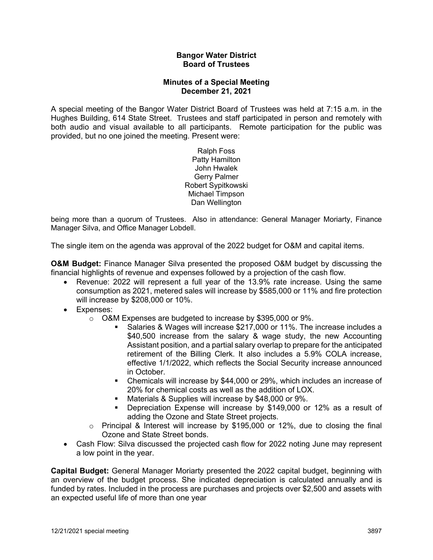## **Bangor Water District Board of Trustees**

## **Minutes of a Special Meeting December 21, 2021**

A special meeting of the Bangor Water District Board of Trustees was held at 7:15 a.m. in the Hughes Building, 614 State Street. Trustees and staff participated in person and remotely with both audio and visual available to all participants. Remote participation for the public was provided, but no one joined the meeting. Present were:

> Ralph Foss Patty Hamilton John Hwalek Gerry Palmer Robert Sypitkowski Michael Timpson Dan Wellington

being more than a quorum of Trustees. Also in attendance: General Manager Moriarty, Finance Manager Silva, and Office Manager Lobdell.

The single item on the agenda was approval of the 2022 budget for O&M and capital items.

**O&M Budget:** Finance Manager Silva presented the proposed O&M budget by discussing the financial highlights of revenue and expenses followed by a projection of the cash flow.

- Revenue: 2022 will represent a full year of the 13.9% rate increase. Using the same consumption as 2021, metered sales will increase by \$585,000 or 11% and fire protection will increase by \$208,000 or 10%.
- Expenses:
	- o O&M Expenses are budgeted to increase by \$395,000 or 9%.
		- Salaries & Wages will increase \$217,000 or 11%. The increase includes a \$40,500 increase from the salary & wage study, the new Accounting Assistant position, and a partial salary overlap to prepare for the anticipated retirement of the Billing Clerk. It also includes a 5.9% COLA increase, effective 1/1/2022, which reflects the Social Security increase announced in October.
		- Chemicals will increase by \$44,000 or 29%, which includes an increase of 20% for chemical costs as well as the addition of LOX.
		- **Materials & Supplies will increase by \$48,000 or 9%.**
		- Depreciation Expense will increase by \$149,000 or 12% as a result of adding the Ozone and State Street projects.
	- $\circ$  Principal & Interest will increase by \$195,000 or 12%, due to closing the final Ozone and State Street bonds.
- Cash Flow: Silva discussed the projected cash flow for 2022 noting June may represent a low point in the year.

**Capital Budget:** General Manager Moriarty presented the 2022 capital budget, beginning with an overview of the budget process. She indicated depreciation is calculated annually and is funded by rates. Included in the process are purchases and projects over \$2,500 and assets with an expected useful life of more than one year